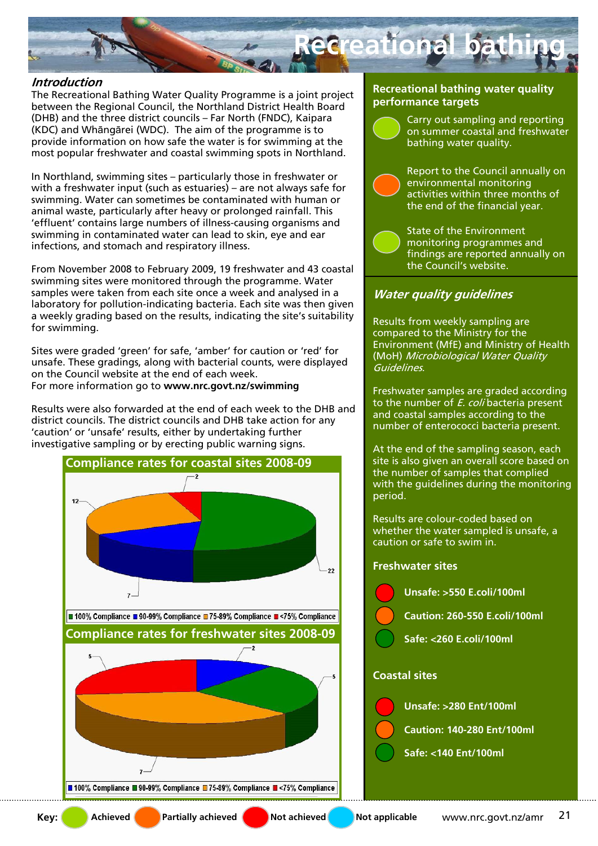

# **Introduction**

The Recreational Bathing Water Quality Programme is a joint project between the Regional Council, the Northland District Health Board (DHB) and the three district councils – Far North (FNDC), Kaipara (KDC) and Whāngārei (WDC). The aim of the programme is to provide information on how safe the water is for swimming at the most popular freshwater and coastal swimming spots in Northland.

In Northland, swimming sites – particularly those in freshwater or with a freshwater input (such as estuaries) – are not always safe for swimming. Water can sometimes be contaminated with human or animal waste, particularly after heavy or prolonged rainfall. This 'effluent' contains large numbers of illness-causing organisms and swimming in contaminated water can lead to skin, eye and ear infections, and stomach and respiratory illness.

From November 2008 to February 2009, 19 freshwater and 43 coastal swimming sites were monitored through the programme. Water samples were taken from each site once a week and analysed in a laboratory for pollution-indicating bacteria. Each site was then given a weekly grading based on the results, indicating the site's suitability for swimming.

Sites were graded 'green' for safe, 'amber' for caution or 'red' for unsafe. These gradings, along with bacterial counts, were displayed on the Council website at the end of each week. For more information go to **www.nrc.govt.nz/swimming** 

Results were also forwarded at the end of each week to the DHB and district councils. The district councils and DHB take action for any 'caution' or 'unsafe' results, either by undertaking further investigative sampling or by erecting public warning signs.



#### **Recreational bathing water quality performance targets**

Carry out sampling and reporting on summer coastal and freshwater bathing water quality.

Report to the Council annually on environmental monitoring activities within three months of the end of the financial year.

State of the Environment monitoring programmes and findings are reported annually on the Council's website.

# **Water quality guidelines**

Results from weekly sampling are compared to the Ministry for the Environment (MfE) and Ministry of Health (MoH) Microbiological Water Quality Guidelines.

Freshwater samples are graded according to the number of  $E$ , coli bacteria present and coastal samples according to the number of enterococci bacteria present.

At the end of the sampling season, each site is also given an overall score based on the number of samples that complied with the guidelines during the monitoring period.

Results are colour-coded based on whether the water sampled is unsafe, a caution or safe to swim in.

## **Freshwater sites**

**Coastal sites Unsafe: >550 E.coli/100ml Caution: 260-550 E.coli/100ml Safe: <260 E.coli/100ml Unsafe: >280 Ent/100ml Caution: 140-280 Ent/100ml** 

**Safe: <140 Ent/100ml**